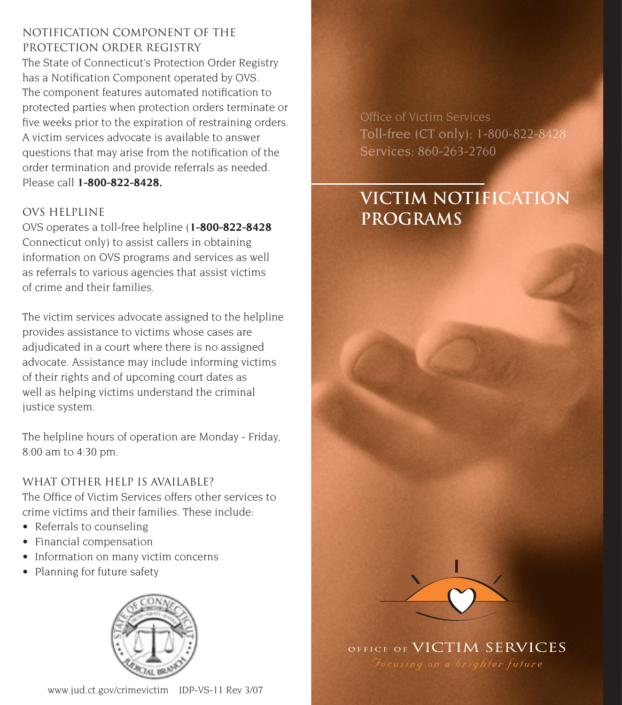## notification component of the protection order registry

The State of Connecticut's Protection Order Registry has a Notification Component operated by OVS. The component features automated notification to protected parties when protection orders terminate or five weeks prior to the expiration of restraining orders. A victim services advocate is available to answer questions that may arise from the notification of the order termination and provide referrals as needed. Please call **1-800-822-8428.**

### ovs helpline

OVS operates a toll-free helpline (**1-800-822-8428**  Connecticut only) to assist callers in obtaining information on OVS programs and services as well as referrals to various agencies that assist victims of crime and their families.

The victim services advocate assigned to the helpline provides assistance to victims whose cases are adjudicated in a court where there is no assigned advocate. Assistance may include informing victims of their rights and of upcoming court dates as well as helping victims understand the criminal justice system.

The helpline hours of operation are Monday - Friday, 8:00 am to 4:30 pm.

what other help is available? The Office of Victim Services offers other services to crime victims and their families. These include:

- Referrals to counseling
- Financial compensation
- Information on many victim concerns
- Planning for future safety



Office of Victim Services Toll-free (CT only): 1-800-822-8428 Services: 860-263-2760

# **Victim notification programs**



OFFICE OF VICTIM SERVICES

www.jud.ct.gov/crimevictim JDP-VS-11 Rev 3/07